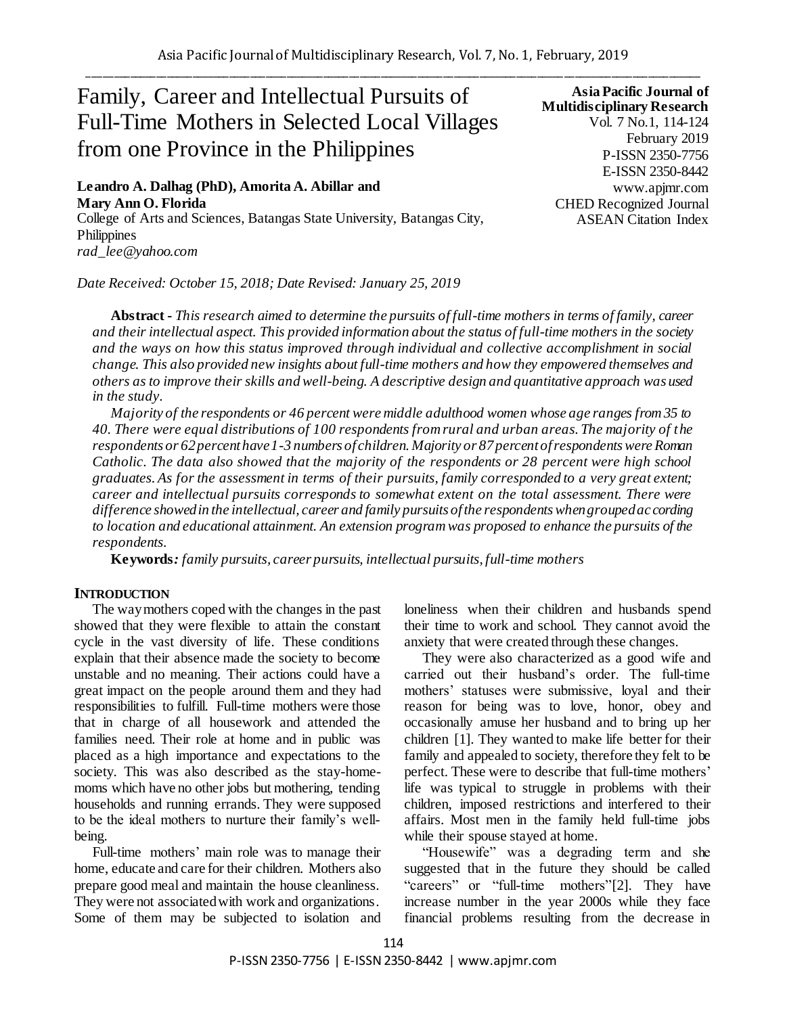# Family, Career and Intellectual Pursuits of Full-Time Mothers in Selected Local Villages from one Province in the Philippines

**Leandro A. Dalhag (PhD), Amorita A. Abillar and Mary Ann O. Florida** College of Arts and Sciences, Batangas State University, Batangas City, **Philippines** *rad\_lee@yahoo.com*

*Date Received: October 15, 2018; Date Revised: January 25, 2019*

**Asia Pacific Journal of Multidisciplinary Research** Vol. 7 No.1, 114-124 February 2019 P-ISSN 2350-7756 E-ISSN 2350-8442 www.apjmr.com CHED Recognized Journal ASEAN Citation Index

**Abstract -** *This research aimed to determine the pursuits of full-time mothers in terms of family, career and their intellectual aspect. This provided information about the status of full-time mothers in the society and the ways on how this status improved through individual and collective accomplishment in social change. This also provided new insights about full-time mothers and how they empowered themselves and others as to improve their skills and well-being. A descriptive design and quantitative approach was used in the study.*

*Majority of the respondents or 46 percent were middle adulthood women whose age ranges from 35 to 40. There were equal distributions of 100 respondents from rural and urban areas. The majority of the respondents or 62 percent have 1-3 numbers of children. Majority or 87 percent of respondents were Roman Catholic. The data also showed that the majority of the respondents or 28 percent were high school graduates. As for the assessment in terms of their pursuits, family corresponded to a very great extent; career and intellectual pursuits corresponds to somewhat extent on the total assessment. There were difference showed in the intellectual, career and family pursuits of the respondents when grouped according to location and educational attainment. An extension program was proposed to enhance the pursuits of the respondents.* 

**Keywords***: family pursuits, career pursuits, intellectual pursuits, full-time mothers*

### **INTRODUCTION**

The way mothers coped with the changes in the past showed that they were flexible to attain the constant cycle in the vast diversity of life. These conditions explain that their absence made the society to become unstable and no meaning. Their actions could have a great impact on the people around them and they had responsibilities to fulfill. Full-time mothers were those that in charge of all housework and attended the families need. Their role at home and in public was placed as a high importance and expectations to the society. This was also described as the stay-homemoms which have no other jobs but mothering, tending households and running errands. They were supposed to be the ideal mothers to nurture their family's wellbeing.

Full-time mothers' main role was to manage their home, educate and care for their children. Mothers also prepare good meal and maintain the house cleanliness. They were not associated with work and organizations. Some of them may be subjected to isolation and

loneliness when their children and husbands spend their time to work and school. They cannot avoid the anxiety that were created through these changes.

They were also characterized as a good wife and carried out their husband's order. The full-time mothers' statuses were submissive, loyal and their reason for being was to love, honor, obey and occasionally amuse her husband and to bring up her children [1]. They wanted to make life better for their family and appealed to society, therefore they felt to be perfect. These were to describe that full-time mothers' life was typical to struggle in problems with their children, imposed restrictions and interfered to their affairs. Most men in the family held full-time jobs while their spouse stayed at home.

"Housewife" was a degrading term and she suggested that in the future they should be called "careers" or "full-time mothers"[2]. They have increase number in the year 2000s while they face financial problems resulting from the decrease in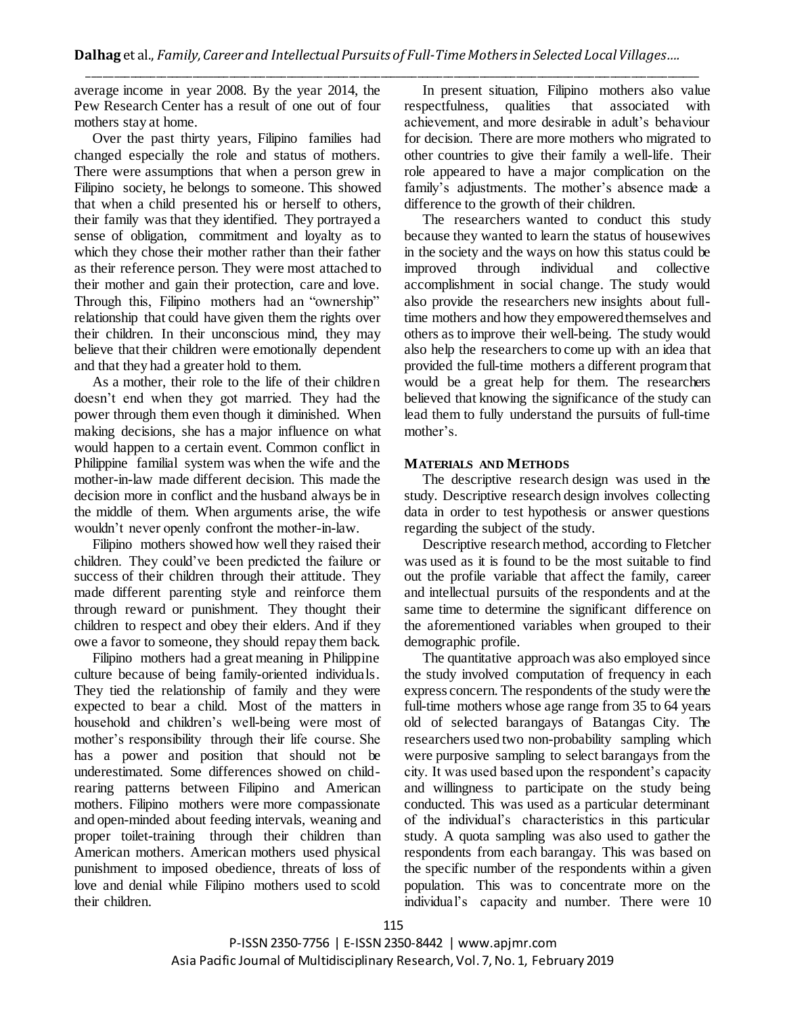average income in year 2008. By the year 2014, the Pew Research Center has a result of one out of four mothers stay at home.

Over the past thirty years, Filipino families had changed especially the role and status of mothers. There were assumptions that when a person grew in Filipino society, he belongs to someone. This showed that when a child presented his or herself to others, their family was that they identified. They portrayed a sense of obligation, commitment and loyalty as to which they chose their mother rather than their father as their reference person. They were most attached to their mother and gain their protection, care and love. Through this, Filipino mothers had an "ownership" relationship that could have given them the rights over their children. In their unconscious mind, they may believe that their children were emotionally dependent and that they had a greater hold to them.

As a mother, their role to the life of their children doesn't end when they got married. They had the power through them even though it diminished. When making decisions, she has a major influence on what would happen to a certain event. Common conflict in Philippine familial system was when the wife and the mother-in-law made different decision. This made the decision more in conflict and the husband always be in the middle of them. When arguments arise, the wife wouldn't never openly confront the mother-in-law.

Filipino mothers showed how well they raised their children. They could've been predicted the failure or success of their children through their attitude. They made different parenting style and reinforce them through reward or punishment. They thought their children to respect and obey their elders. And if they owe a favor to someone, they should repay them back.

Filipino mothers had a great meaning in Philippine culture because of being family-oriented individuals. They tied the relationship of family and they were expected to bear a child. Most of the matters in household and children's well-being were most of mother's responsibility through their life course. She has a power and position that should not be underestimated. Some differences showed on childrearing patterns between Filipino and American mothers. Filipino mothers were more compassionate and open-minded about feeding intervals, weaning and proper toilet-training through their children than American mothers. American mothers used physical punishment to imposed obedience, threats of loss of love and denial while Filipino mothers used to scold their children.

In present situation, Filipino mothers also value respectfulness, qualities that associated with achievement, and more desirable in adult's behaviour for decision. There are more mothers who migrated to other countries to give their family a well-life. Their role appeared to have a major complication on the family's adjustments. The mother's absence made a difference to the growth of their children.

The researchers wanted to conduct this study because they wanted to learn the status of housewives in the society and the ways on how this status could be improved through individual and collective accomplishment in social change. The study would also provide the researchers new insights about fulltime mothers and how they empowered themselves and others as to improve their well-being. The study would also help the researchers to come up with an idea that provided the full-time mothers a different program that would be a great help for them. The researchers believed that knowing the significance of the study can lead them to fully understand the pursuits of full-time mother's.

# **MATERIALS AND METHODS**

The descriptive research design was used in the study. Descriptive research design involves collecting data in order to test hypothesis or answer questions regarding the subject of the study.

Descriptive research method, according to Fletcher was used as it is found to be the most suitable to find out the profile variable that affect the family, career and intellectual pursuits of the respondents and at the same time to determine the significant difference on the aforementioned variables when grouped to their demographic profile.

The quantitative approach was also employed since the study involved computation of frequency in each express concern. The respondents of the study were the full-time mothers whose age range from 35 to 64 years old of selected barangays of Batangas City. The researchers used two non-probability sampling which were purposive sampling to select barangays from the city. It was used based upon the respondent's capacity and willingness to participate on the study being conducted. This was used as a particular determinant of the individual's characteristics in this particular study. A quota sampling was also used to gather the respondents from each barangay. This was based on the specific number of the respondents within a given population. This was to concentrate more on the individual's capacity and number. There were 10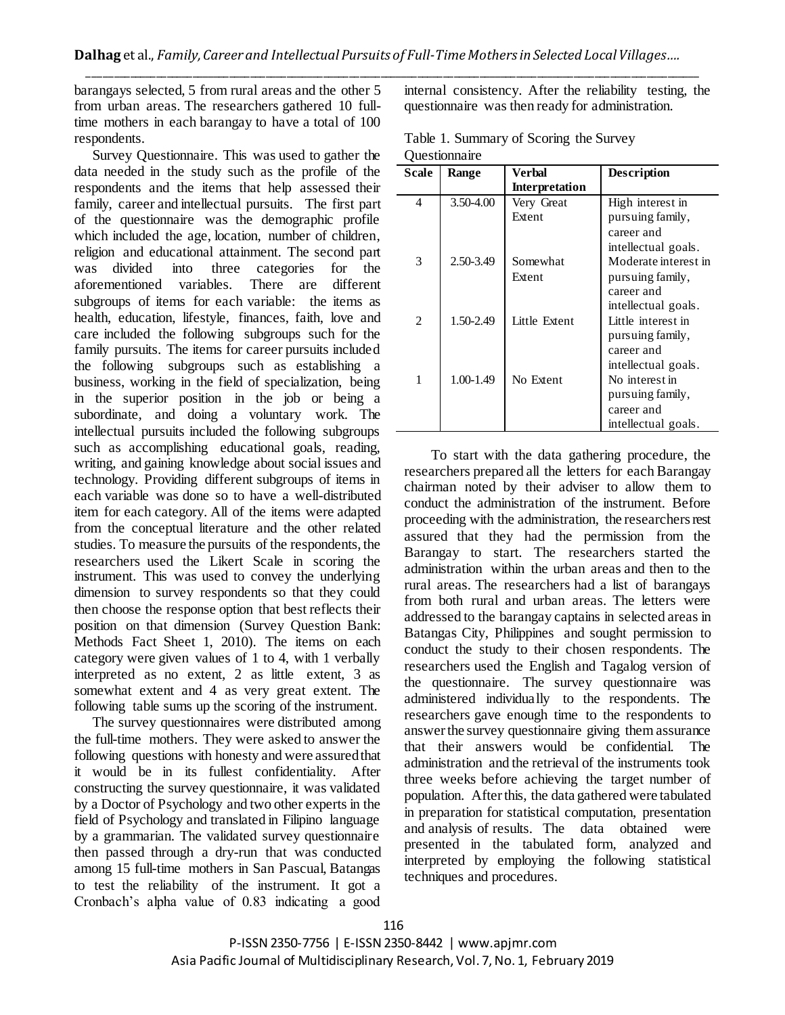barangays selected, 5 from rural areas and the other 5 from urban areas. The researchers gathered 10 fulltime mothers in each barangay to have a total of 100 respondents.

Survey Questionnaire. This was used to gather the data needed in the study such as the profile of the respondents and the items that help assessed their family, career and intellectual pursuits. The first part of the questionnaire was the demographic profile which included the age, location, number of children, religion and educational attainment. The second part was divided into three categories for the aforementioned variables. There are different subgroups of items for each variable: the items as health, education, lifestyle, finances, faith, love and care included the following subgroups such for the family pursuits. The items for career pursuits included the following subgroups such as establishing a business, working in the field of specialization, being in the superior position in the job or being a subordinate, and doing a voluntary work. The intellectual pursuits included the following subgroups such as accomplishing educational goals, reading, writing, and gaining knowledge about social issues and technology. Providing different subgroups of items in each variable was done so to have a well-distributed item for each category. All of the items were adapted from the conceptual literature and the other related studies. To measure the pursuits of the respondents, the researchers used the Likert Scale in scoring the instrument. This was used to convey the underlying dimension to survey respondents so that they could then choose the response option that best reflects their position on that dimension (Survey Question Bank: Methods Fact Sheet 1, 2010). The items on each category were given values of 1 to 4, with 1 verbally interpreted as no extent, 2 as little extent, 3 as somewhat extent and 4 as very great extent. The following table sums up the scoring of the instrument.

The survey questionnaires were distributed among the full-time mothers. They were asked to answer the following questions with honesty and were assured that it would be in its fullest confidentiality. After constructing the survey questionnaire, it was validated by a Doctor of Psychology and two other experts in the field of Psychology and translated in Filipino language by a grammarian. The validated survey questionnaire then passed through a dry-run that was conducted among 15 full-time mothers in San Pascual, Batangas to test the reliability of the instrument. It got a Cronbach's alpha value of 0.83 indicating a good

internal consistency. After the reliability testing, the questionnaire was then ready for administration.

| Table 1. Summary of Scoring the Survey |  |
|----------------------------------------|--|
| Questionnaire                          |  |

| <b>Scale</b> | Range     | Verbal         | Description          |
|--------------|-----------|----------------|----------------------|
|              |           | Interpretation |                      |
| 4            | 3.50-4.00 | Very Great     | High interest in     |
|              |           | Extent         | pursuing family,     |
|              |           |                | career and           |
|              |           |                | intellectual goals.  |
| 3            | 2.50-3.49 | Somewhat       | Moderate interest in |
|              |           | Extent         | pursuing family,     |
|              |           |                | career and           |
|              |           |                | intellectual goals.  |
| 2            | 1.50-2.49 | Little Extent  | Little interest in   |
|              |           |                | pursuing family,     |
|              |           |                | career and           |
|              |           |                | intellectual goals.  |
| 1            | 1.00-1.49 | No Extent      | No interest in       |
|              |           |                | pursuing family,     |
|              |           |                | career and           |
|              |           |                | intellectual goals.  |

To start with the data gathering procedure, the researchers prepared all the letters for each Barangay chairman noted by their adviser to allow them to conduct the administration of the instrument. Before proceeding with the administration, the researchers rest assured that they had the permission from the Barangay to start. The researchers started the administration within the urban areas and then to the rural areas. The researchers had a list of barangays from both rural and urban areas. The letters were addressed to the barangay captains in selected areas in Batangas City, Philippines and sought permission to conduct the study to their chosen respondents. The researchers used the English and Tagalog version of the questionnaire. The survey questionnaire was administered individually to the respondents. The researchers gave enough time to the respondents to answer the survey questionnaire giving them assurance that their answers would be confidential. The administration and the retrieval of the instruments took three weeks before achieving the target number of population. After this, the data gathered were tabulated in preparation for statistical computation, presentation and analysis of results. The data obtained were presented in the tabulated form, analyzed and interpreted by employing the following statistical techniques and procedures.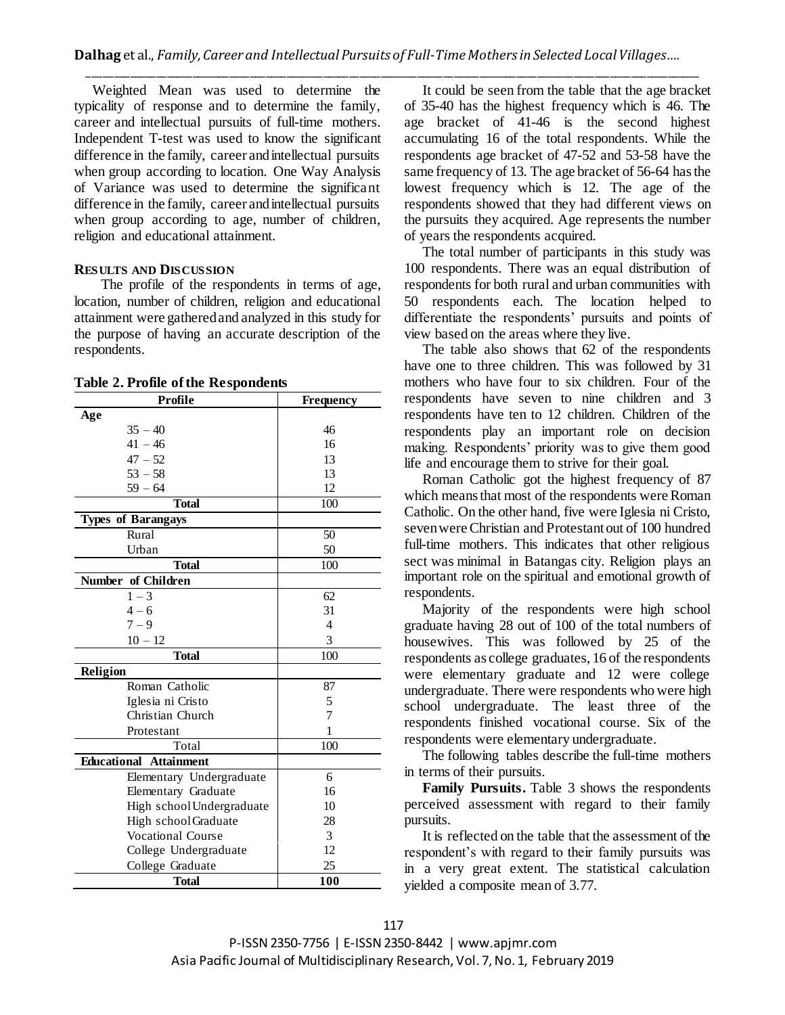Weighted Mean was used to determine the typicality of response and to determine the family, career and intellectual pursuits of full-time mothers. Independent T-test was used to know the significant difference in the family, career and intellectual pursuits when group according to location. One Way Analysis of Variance was used to determine the significant difference in the family, career and intellectual pursuits when group according to age, number of children, religion and educational attainment.

## **RESULTS AND DISCUSSION**

The profile of the respondents in terms of age, location, number of children, religion and educational attainment were gathered and analyzed in this study for the purpose of having an accurate description of the respondents.

**Table 2. Profile ofthe Respondents**

| <b>Profile</b>                | <b>Frequency</b> |
|-------------------------------|------------------|
| Age                           |                  |
| $35 - 40$                     | 46               |
| $41 - 46$                     | 16               |
| $47 - 52$                     | 13               |
| $53 - 58$                     | 13               |
| $59 - 64$                     | 12               |
| <b>Total</b>                  | 100              |
| <b>Types of Barangays</b>     |                  |
| Rural                         | 50               |
| Urban                         | 50               |
| <b>Total</b>                  | 100              |
| Number of Children            |                  |
| $1 - 3$                       | 62               |
| $4 - 6$                       | 31               |
| $7 - 9$                       | $\overline{4}$   |
| $10 - 12$                     | 3                |
| <b>Total</b>                  | 100              |
| Religion                      |                  |
| Roman Catholic                | 87               |
| Iglesia ni Cristo             | 5                |
| Christian Church              | 7                |
| Protestant                    | 1                |
| Total                         | 100              |
| <b>Educational Attainment</b> |                  |
| Elementary Undergraduate      | 6                |
| Elementary Graduate           | 16               |
| High school Undergraduate     | 10               |
| High school Graduate          | 28               |
| <b>Vocational Course</b>      | 3                |
| College Undergraduate         | 12               |
| College Graduate              | 25               |
| Total                         | 100              |

It could be seen from the table that the age bracket of 35-40 has the highest frequency which is 46. The age bracket of 41-46 is the second highest accumulating 16 of the total respondents. While the respondents age bracket of 47-52 and 53-58 have the same frequency of 13. The age bracket of 56-64 has the lowest frequency which is 12. The age of the respondents showed that they had different views on the pursuits they acquired. Age represents the number of years the respondents acquired.

The total number of participants in this study was 100 respondents. There was an equal distribution of respondents for both rural and urban communities with 50 respondents each. The location helped to differentiate the respondents' pursuits and points of view based on the areas where they live.

The table also shows that 62 of the respondents have one to three children. This was followed by 31 mothers who have four to six children. Four of the respondents have seven to nine children and 3 respondents have ten to 12 children. Children of the respondents play an important role on decision making. Respondents' priority was to give them good life and encourage them to strive for their goal.

Roman Catholic got the highest frequency of 87 which means that most of the respondents were Roman Catholic. On the other hand, five were Iglesia ni Cristo, seven were Christian and Protestant out of 100 hundred full-time mothers. This indicates that other religious sect was minimal in Batangas city. Religion plays an important role on the spiritual and emotional growth of respondents.

Majority of the respondents were high school graduate having 28 out of 100 of the total numbers of housewives. This was followed by 25 of the respondents as college graduates, 16 of the respondents were elementary graduate and 12 were college undergraduate. There were respondents who were high school undergraduate. The least three of the respondents finished vocational course. Six of the respondents were elementary undergraduate.

The following tables describe the full-time mothers in terms of their pursuits.

**Family Pursuits.** Table 3 shows the respondents perceived assessment with regard to their family pursuits.

It is reflected on the table that the assessment of the respondent's with regard to their family pursuits was in a very great extent. The statistical calculation yielded a composite mean of 3.77.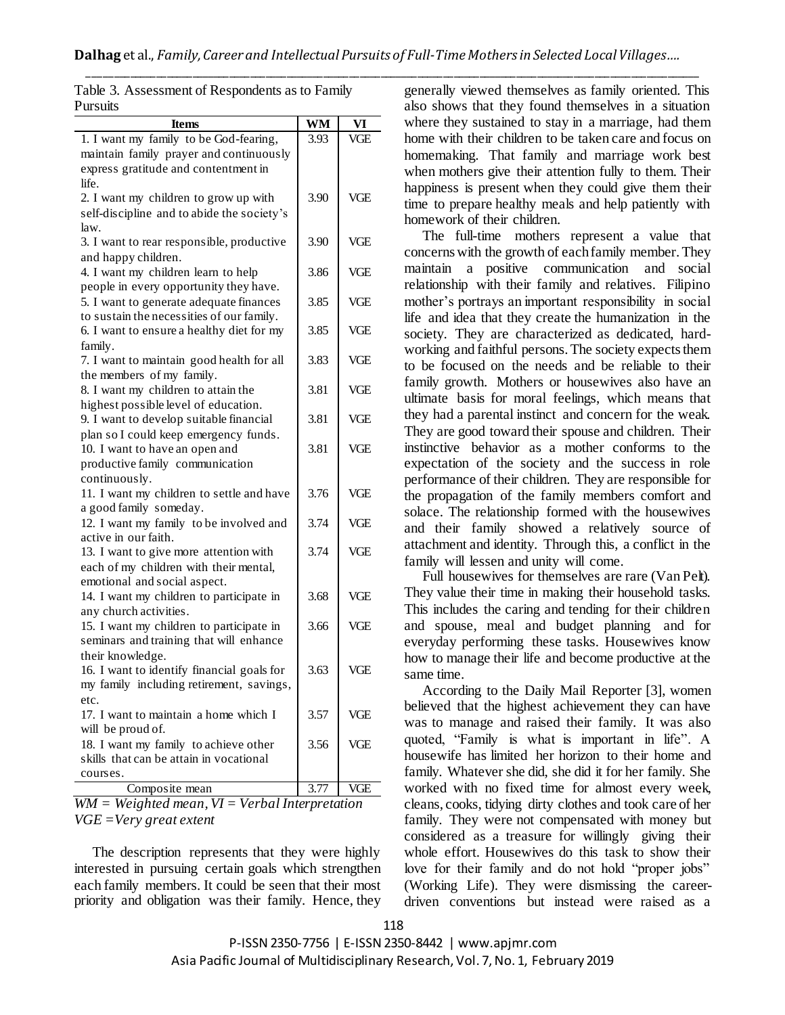| Items                                                                             | WM   | VI         |
|-----------------------------------------------------------------------------------|------|------------|
| 1. I want my family to be God-fearing,                                            | 3.93 | VGE        |
| maintain family prayer and continuously                                           |      |            |
| express gratitude and contentment in<br>life.                                     |      |            |
| 2. I want my children to grow up with                                             | 3.90 | <b>VGE</b> |
| self-discipline and to abide the society's                                        |      |            |
| law.                                                                              |      |            |
| 3. I want to rear responsible, productive                                         | 3.90 | VGE        |
| and happy children.                                                               |      |            |
| 4. I want my children learn to help                                               | 3.86 | <b>VGE</b> |
| people in every opportunity they have.<br>5. I want to generate adequate finances | 3.85 | <b>VGE</b> |
| to sustain the necessities of our family.                                         |      |            |
| 6. I want to ensure a healthy diet for my                                         | 3.85 | VGE        |
| family.                                                                           |      |            |
| 7. I want to maintain good health for all                                         | 3.83 | <b>VGE</b> |
| the members of my family.                                                         |      |            |
| 8. I want my children to attain the                                               | 3.81 | <b>VGE</b> |
| highest possible level of education.<br>9. I want to develop suitable financial   | 3.81 | VGE        |
| plan so I could keep emergency funds.                                             |      |            |
| 10. I want to have an open and                                                    | 3.81 | VGE        |
| productive family communication                                                   |      |            |
| continuously.                                                                     |      |            |
| 11. I want my children to settle and have                                         | 3.76 | VGE        |
| a good family someday.                                                            |      |            |
| 12. I want my family to be involved and                                           | 3.74 | <b>VGE</b> |
| active in our faith.                                                              |      |            |
| 13. I want to give more attention with                                            | 3.74 | <b>VGE</b> |
| each of my children with their mental,                                            |      |            |
| emotional and social aspect.                                                      |      |            |
| 14. I want my children to participate in                                          | 3.68 | VGE        |
| any church activities.<br>15. I want my children to participate in                | 3.66 | VGE        |
| seminars and training that will enhance                                           |      |            |
| their knowledge.                                                                  |      |            |
| 16. I want to identify financial goals for                                        | 3.63 | VGE        |
| my family including retirement, savings,                                          |      |            |
| etc.                                                                              |      |            |
| 17. I want to maintain a home which I                                             | 3.57 | VGE        |
| will be proud of.                                                                 |      |            |
| 18. I want my family to achieve other                                             | 3.56 | VGE        |
| skills that can be attain in vocational                                           |      |            |
| courses.                                                                          |      |            |
| Composite mean                                                                    | 3.77 | VGE        |

|          | Table 3. Assessment of Respondents as to Family |  |
|----------|-------------------------------------------------|--|
| Pursuits |                                                 |  |

*WM = Weighted mean, VI = Verbal Interpretation VGE =Very great extent*

The description represents that they were highly interested in pursuing certain goals which strengthen each family members. It could be seen that their most priority and obligation was their family. Hence, they

generally viewed themselves as family oriented. This also shows that they found themselves in a situation where they sustained to stay in a marriage, had them home with their children to be taken care and focus on homemaking. That family and marriage work best when mothers give their attention fully to them. Their happiness is present when they could give them their time to prepare healthy meals and help patiently with homework of their children.

The full-time mothers represent a value that concerns with the growth of each family member. They maintain a positive communication and social relationship with their family and relatives. Filipino mother's portrays an important responsibility in social life and idea that they create the humanization in the society. They are characterized as dedicated, hardworking and faithful persons. The society expects them to be focused on the needs and be reliable to their family growth. Mothers or housewives also have an ultimate basis for moral feelings, which means that they had a parental instinct and concern for the weak. They are good toward their spouse and children. Their instinctive behavior as a mother conforms to the expectation of the society and the success in role performance of their children. They are responsible for the propagation of the family members comfort and solace. The relationship formed with the housewives and their family showed a relatively source of attachment and identity. Through this, a conflict in the family will lessen and unity will come.

Full housewives for themselves are rare (Van Pelt). They value their time in making their household tasks. This includes the caring and tending for their children and spouse, meal and budget planning and for everyday performing these tasks. Housewives know how to manage their life and become productive at the same time.

According to the [Daily Mail Reporter](http://www.dailymail.co.uk/home/search.html?s=&authornamef=Daily+Mail+Reporter) [3], women believed that the highest achievement they can have was to manage and raised their family. It was also quoted, "Family is what is important in life". A housewife has limited her horizon to their home and family. Whatever she did, she did it for her family. She worked with no fixed time for almost every week, cleans, cooks, tidying dirty clothes and took care of her family. They were not compensated with money but considered as a treasure for willingly giving their whole effort. Housewives do this task to show their love for their family and do not hold "proper jobs" (Working Life). They were dismissing the careerdriven conventions but instead were raised as a

P-ISSN 2350-7756 | E-ISSN 2350-8442 | www.apjmr.com Asia Pacific Journal of Multidisciplinary Research, Vol. 7, No. 1, February 2019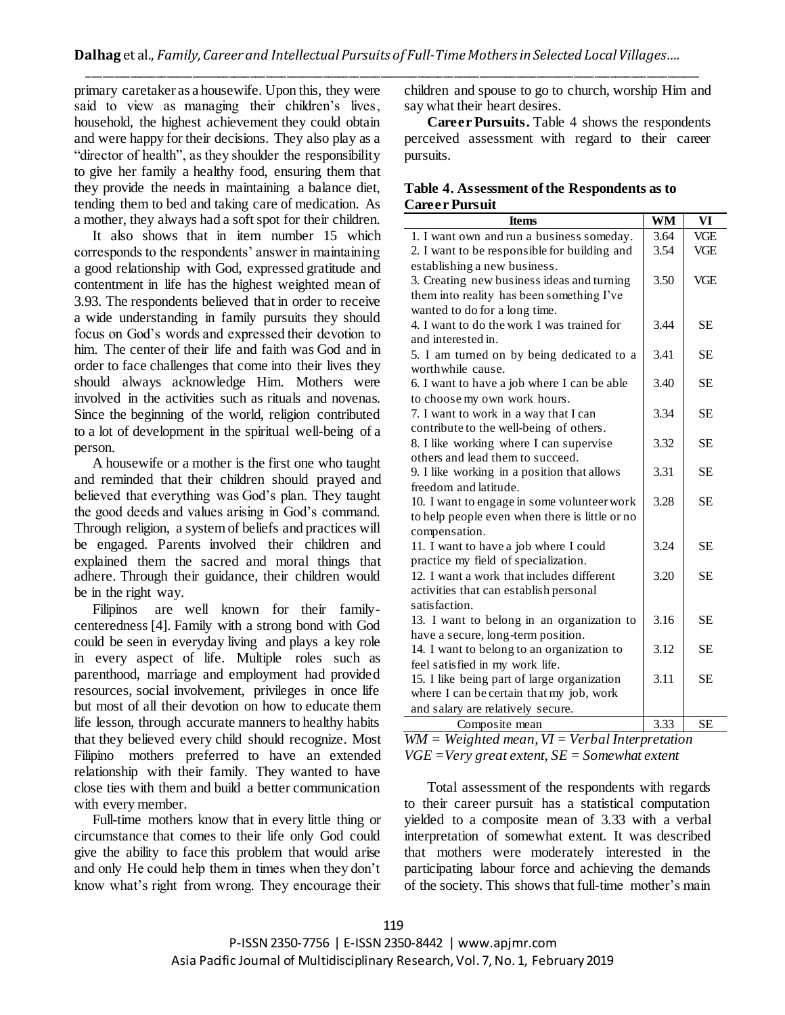primary caretaker as a housewife. Upon this, they were said to view as managing their children's lives, household, the highest achievement they could obtain and were happy for their decisions. They also play as a "director of health", as they shoulder the responsibility to give her family a healthy food, ensuring them that they provide the needs in maintaining a balance diet, tending them to bed and taking care of medication. As a mother, they always had a soft spot for their children.

It also shows that in item number 15 which corresponds to the respondents' answer in maintaining a good relationship with God, expressed gratitude and contentment in life has the highest weighted mean of 3.93. The respondents believed that in order to receive a wide understanding in family pursuits they should focus on God's words and expressed their devotion to him. The center of their life and faith was God and in order to face challenges that come into their lives they should always acknowledge Him. Mothers were involved in the activities such as rituals and novenas. Since the beginning of the world, religion contributed to a lot of development in the spiritual well-being of a person.

A housewife or a mother is the first one who taught and reminded that their children should prayed and believed that everything was God's plan. They taught the good deeds and values arising in God's command. Through religion, a system of beliefs and practices will be engaged. Parents involved their children and explained them the sacred and moral things that adhere. Through their guidance, their children would be in the right way.

Filipinos are well known for their familycenteredness [4]. Family with a strong bond with God could be seen in everyday living and plays a key role in every aspect of life. Multiple roles such as parenthood, marriage and employment had provided resources, social involvement, privileges in once life but most of all their devotion on how to educate them life lesson, through accurate manners to healthy habits that they believed every child should recognize. Most Filipino mothers preferred to have an extended relationship with their family. They wanted to have close ties with them and build a better communication with every member.

Full-time mothers know that in every little thing or circumstance that comes to their life only God could give the ability to face this problem that would arise and only He could help them in times when they don't know what's right from wrong. They encourage their

children and spouse to go to church, worship Him and say what their heart desires.

**Career Pursuits.** Table 4 shows the respondents perceived assessment with regard to their career pursuits.

# **Table 4. Assessment of the Respondents as to Career Pursuit**

| <b>Items</b>                                   | <b>WM</b> | $\mathbf{V}$ |
|------------------------------------------------|-----------|--------------|
| 1. I want own and run a business someday.      | 3.64      | VGE          |
| 2. I want to be responsible for building and   | 3.54      | <b>VGE</b>   |
| establishing a new business.                   |           |              |
| 3. Creating new business ideas and turning     | 3.50      | VGE          |
| them into reality has been something I've      |           |              |
| wanted to do for a long time.                  |           |              |
| 4. I want to do the work I was trained for     | 3.44      | <b>SE</b>    |
| and interested in.                             |           |              |
| 5. I am turned on by being dedicated to a      | 3.41      | <b>SE</b>    |
| worthwhile cause.                              |           |              |
| 6. I want to have a job where I can be able    | 3.40      | <b>SE</b>    |
| to choose my own work hours.                   |           |              |
| 7. I want to work in a way that I can          | 3.34      | <b>SE</b>    |
| contribute to the well-being of others.        |           |              |
| 8. I like working where I can supervise        | 3.32      | <b>SE</b>    |
| others and lead them to succeed.               |           |              |
| 9. I like working in a position that allows    | 3.31      | <b>SE</b>    |
| freedom and latitude.                          |           |              |
| 10. I want to engage in some volunteer work    | 3.28      | <b>SE</b>    |
| to help people even when there is little or no |           |              |
| compensation.                                  |           |              |
| 11. I want to have a job where I could         | 3.24      | <b>SE</b>    |
| practice my field of specialization.           |           |              |
| 12. I want a work that includes different      | 3.20      | <b>SE</b>    |
| activities that can establish personal         |           |              |
| satisfaction.                                  |           |              |
| 13. I want to belong in an organization to     | 3.16      | <b>SE</b>    |
| have a secure, long-term position.             |           |              |
| 14. I want to belong to an organization to     | 3.12      | <b>SE</b>    |
| feel satisfied in my work life.                |           |              |
| 15. I like being part of large organization    | 3.11      | <b>SE</b>    |
| where I can be certain that my job, work       |           |              |
| and salary are relatively secure.              |           |              |
| Composite mean                                 | 3.33      | <b>SE</b>    |

*WM = Weighted mean, VI = Verbal Interpretation VGE =Very great extent, SE = Somewhat extent*

Total assessment of the respondents with regards to their career pursuit has a statistical computation yielded to a composite mean of 3.33 with a verbal interpretation of somewhat extent. It was described that mothers were moderately interested in the participating labour force and achieving the demands of the society. This shows that full-time mother's main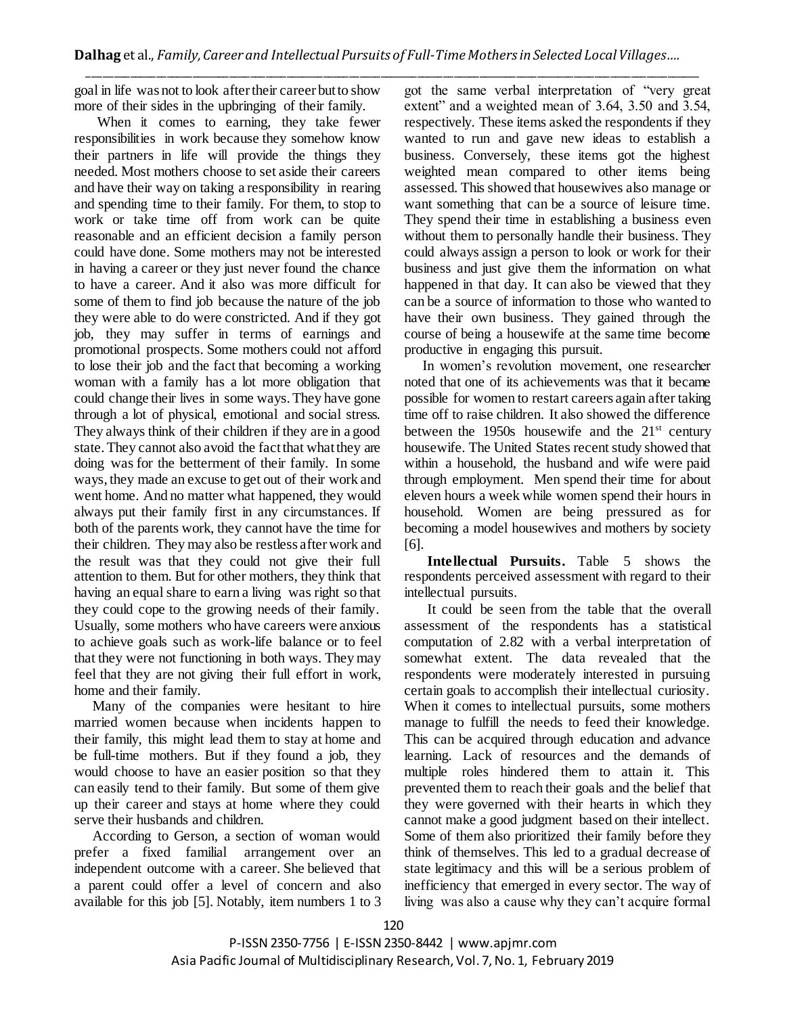goal in life was not to look after their career but to show more of their sides in the upbringing of their family.

When it comes to earning, they take fewer responsibilities in work because they somehow know their partners in life will provide the things they needed. Most mothers choose to set aside their careers and have their way on taking a responsibility in rearing and spending time to their family. For them, to stop to work or take time off from work can be quite reasonable and an efficient decision a family person could have done. Some mothers may not be interested in having a career or they just never found the chance to have a career. And it also was more difficult for some of them to find job because the nature of the job they were able to do were constricted. And if they got job, they may suffer in terms of earnings and promotional prospects. Some mothers could not afford to lose their job and the fact that becoming a working woman with a family has a lot more obligation that could change their lives in some ways. They have gone through a lot of physical, emotional and social stress. They always think of their children if they are in a good state. They cannot also avoid the fact that what they are doing was for the betterment of their family. In some ways, they made an excuse to get out of their work and went home. And no matter what happened, they would always put their family first in any circumstances. If both of the parents work, they cannot have the time for their children. They may also be restless after work and the result was that they could not give their full attention to them. But for other mothers, they think that having an equal share to earn a living was right so that they could cope to the growing needs of their family. Usually, some mothers who have careers were anxious to achieve goals such as work-life balance or to feel that they were not functioning in both ways. They may feel that they are not giving their full effort in work, home and their family.

Many of the companies were hesitant to hire married women because when incidents happen to their family, this might lead them to stay at home and be full-time mothers. But if they found a job, they would choose to have an easier position so that they can easily tend to their family. But some of them give up their career and stays at home where they could serve their husbands and children.

According to Gerson, a section of woman would prefer a fixed familial arrangement over an independent outcome with a career. She believed that a parent could offer a level of concern and also available for this job [5]. Notably, item numbers 1 to 3

got the same verbal interpretation of "very great extent" and a weighted mean of 3.64, 3.50 and 3.54, respectively. These items asked the respondents if they wanted to run and gave new ideas to establish a business. Conversely, these items got the highest weighted mean compared to other items being assessed. This showed that housewives also manage or want something that can be a source of leisure time. They spend their time in establishing a business even without them to personally handle their business. They could always assign a person to look or work for their business and just give them the information on what happened in that day. It can also be viewed that they can be a source of information to those who wanted to have their own business. They gained through the course of being a housewife at the same time become productive in engaging this pursuit.

In women's revolution movement, one researcher noted that one of its achievements was that it became possible for women to restart careers again after taking time off to raise children. It also showed the difference between the 1950s housewife and the  $21^{st}$  century housewife. The United States recent study showed that within a household, the husband and wife were paid through employment. Men spend their time for about eleven hours a week while women spend their hours in household. Women are being pressured as for becoming a model housewives and mothers by society [6].

**Intellectual Pursuits.** Table 5 shows the respondents perceived assessment with regard to their intellectual pursuits.

It could be seen from the table that the overall assessment of the respondents has a statistical computation of 2.82 with a verbal interpretation of somewhat extent. The data revealed that the respondents were moderately interested in pursuing certain goals to accomplish their intellectual curiosity. When it comes to intellectual pursuits, some mothers manage to fulfill the needs to feed their knowledge. This can be acquired through education and advance learning. Lack of resources and the demands of multiple roles hindered them to attain it. This prevented them to reach their goals and the belief that they were governed with their hearts in which they cannot make a good judgment based on their intellect. Some of them also prioritized their family before they think of themselves. This led to a gradual decrease of state legitimacy and this will be a serious problem of inefficiency that emerged in every sector. The way of living was also a cause why they can't acquire formal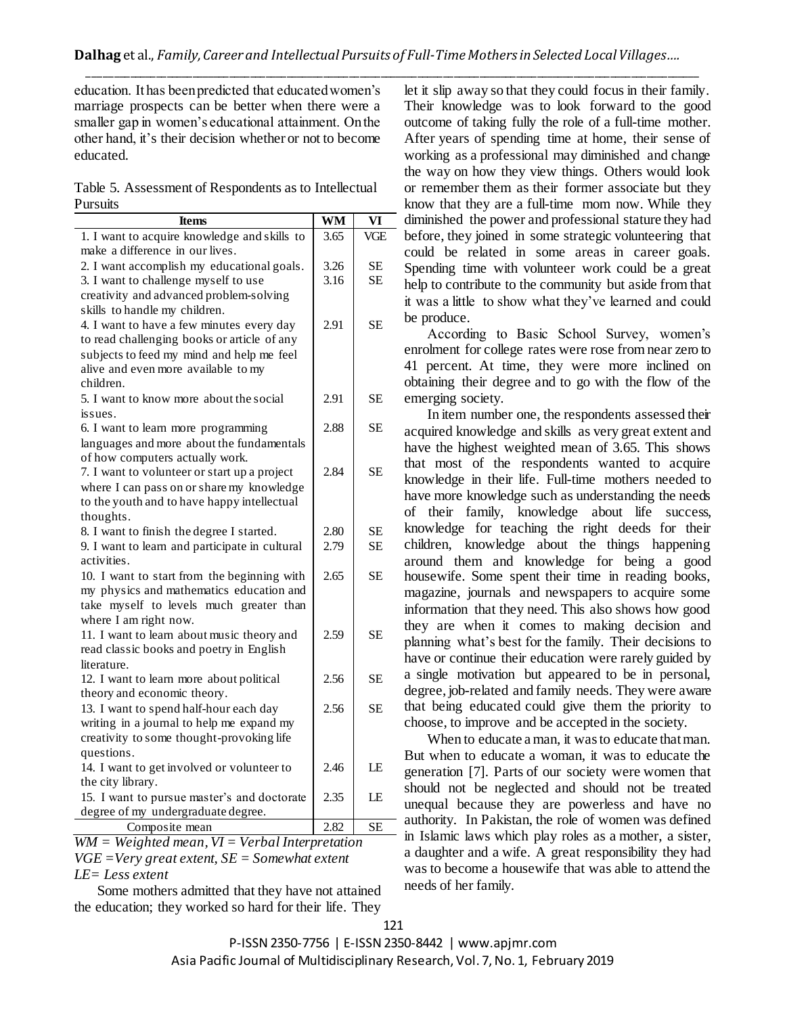education. It has been predicted that educated women's marriage prospects can be better when there were a smaller gap in women's educational attainment. On the other hand, it's their decision whether or not to become educated.

Table 5. Assessment of Respondents as to Intellectual Pursuits

| Items                                              | <b>WM</b> | VI        |
|----------------------------------------------------|-----------|-----------|
| 1. I want to acquire knowledge and skills to       | 3.65      | VGE       |
| make a difference in our lives.                    |           |           |
| 2. I want accomplish my educational goals.         | 3.26      | <b>SE</b> |
| 3. I want to challenge myself to use               | 3.16      | <b>SE</b> |
| creativity and advanced problem-solving            |           |           |
| skills to handle my children.                      |           |           |
| 4. I want to have a few minutes every day          | 2.91      | <b>SE</b> |
| to read challenging books or article of any        |           |           |
| subjects to feed my mind and help me feel          |           |           |
| alive and even more available to my                |           |           |
| children.                                          |           |           |
| 5. I want to know more about the social            | 2.91      | <b>SE</b> |
| issues.                                            |           |           |
| 6. I want to learn more programming                | 2.88      | <b>SE</b> |
| languages and more about the fundamentals          |           |           |
| of how computers actually work.                    |           |           |
| 7. I want to volunteer or start up a project       | 2.84      | <b>SE</b> |
| where I can pass on or share my knowledge          |           |           |
| to the youth and to have happy intellectual        |           |           |
| thoughts.                                          |           |           |
| 8. I want to finish the degree I started.          | 2.80      | <b>SE</b> |
| 9. I want to learn and participate in cultural     | 2.79      | <b>SE</b> |
| activities.                                        |           |           |
| 10. I want to start from the beginning with        | 2.65      | <b>SE</b> |
| my physics and mathematics education and           |           |           |
| take myself to levels much greater than            |           |           |
| where I am right now.                              |           |           |
| 11. I want to learn about music theory and         | 2.59      | <b>SE</b> |
| read classic books and poetry in English           |           |           |
| literature.                                        |           |           |
| 12. I want to learn more about political           | 2.56      | <b>SE</b> |
| theory and economic theory.                        |           |           |
| 13. I want to spend half-hour each day             | 2.56      | <b>SE</b> |
| writing in a journal to help me expand my          |           |           |
| creativity to some thought-provoking life          |           |           |
| questions.                                         |           |           |
| 14. I want to get involved or volunteer to         | 2.46      | LE        |
| the city library.                                  |           |           |
| 15. I want to pursue master's and doctorate        | 2.35      | LE        |
| degree of my undergraduate degree.                 |           |           |
| Composite mean                                     | 2.82      | <b>SE</b> |
| $WM = Weighted$ mean, $VI = Verbal$ Interpretation |           |           |

*VGE =Very great extent, SE = Somewhat extent LE= Less extent*

Some mothers admitted that they have not attained the education; they worked so hard for their life. They

let it slip away so that they could focus in their family. Their knowledge was to look forward to the good outcome of taking fully the role of a full-time mother. After years of spending time at home, their sense of working as a professional may diminished and change the way on how they view things. Others would look or remember them as their former associate but they know that they are a full-time mom now. While they diminished the power and professional stature they had before, they joined in some strategic volunteering that could be related in some areas in career goals. Spending time with volunteer work could be a great help to contribute to the community but aside from that it was a little to show what they've learned and could be produce.

According to Basic School Survey, women's enrolment for college rates were rose from near zero to 41 percent. At time, they were more inclined on obtaining their degree and to go with the flow of the emerging society.

In item number one, the respondents assessed their acquired knowledge and skills as very great extent and have the highest weighted mean of 3.65. This shows that most of the respondents wanted to acquire knowledge in their life. Full-time mothers needed to have more knowledge such as understanding the needs of their family, knowledge about life success, knowledge for teaching the right deeds for their children, knowledge about the things happening around them and knowledge for being a good housewife. Some spent their time in reading books, magazine, journals and newspapers to acquire some information that they need. This also shows how good they are when it comes to making decision and planning what's best for the family. Their decisions to have or continue their education were rarely guided by a single motivation but appeared to be in personal, degree, job-related and family needs. They were aware that being educated could give them the priority to choose, to improve and be accepted in the society.

When to educate a man, it was to educate that man. But when to educate a woman, it was to educate the generation [7]. Parts of our society were women that should not be neglected and should not be treated unequal because they are powerless and have no authority. In Pakistan, the role of women was defined in Islamic laws which play roles as a mother, a sister, a daughter and a wife. A great responsibility they had was to become a housewife that was able to attend the needs of her family.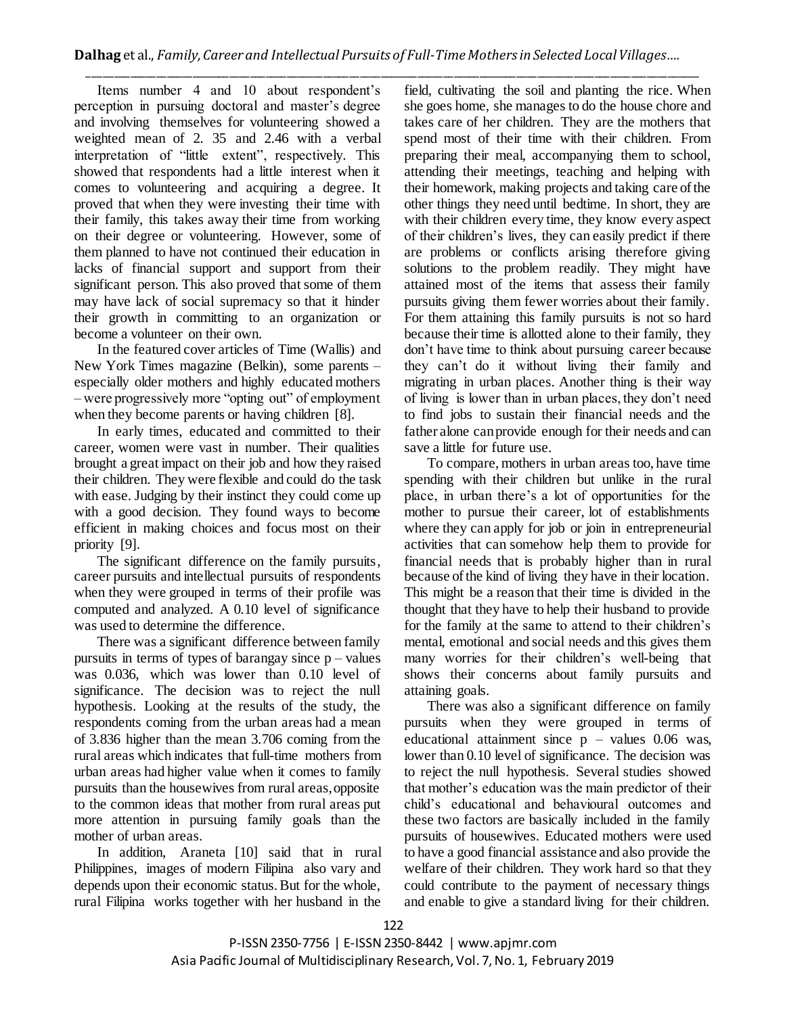\_\_\_\_\_\_\_\_\_\_\_\_\_\_\_\_\_\_\_\_\_\_\_\_\_\_\_\_\_\_\_\_\_\_\_\_\_\_\_\_\_\_\_\_\_\_\_\_\_\_\_\_\_\_\_\_\_\_\_\_\_\_\_\_\_\_\_\_\_\_\_\_\_\_\_\_\_\_\_\_\_\_\_\_\_\_\_\_\_\_\_\_\_\_\_\_\_\_\_\_\_\_\_\_\_\_\_\_\_\_\_\_\_\_\_\_\_ Items number 4 and 10 about respondent's perception in pursuing doctoral and master's degree and involving themselves for volunteering showed a weighted mean of 2. 35 and 2.46 with a verbal interpretation of "little extent", respectively. This showed that respondents had a little interest when it comes to volunteering and acquiring a degree. It proved that when they were investing their time with their family, this takes away their time from working on their degree or volunteering. However, some of them planned to have not continued their education in lacks of financial support and support from their significant person. This also proved that some of them may have lack of social supremacy so that it hinder their growth in committing to an organization or become a volunteer on their own.

In the featured cover articles of Time (Wallis) and New York Times magazine (Belkin), some parents – especially older mothers and highly educated mothers – were progressively more "opting out" of employment when they become parents or having children [8].

In early times, educated and committed to their career, women were vast in number. Their qualities brought a great impact on their job and how they raised their children. They were flexible and could do the task with ease. Judging by their instinct they could come up with a good decision. They found ways to become efficient in making choices and focus most on their priority [9].

The significant difference on the family pursuits, career pursuits and intellectual pursuits of respondents when they were grouped in terms of their profile was computed and analyzed. A 0.10 level of significance was used to determine the difference.

There was a significant difference between family pursuits in terms of types of barangay since  $p -$  values was 0.036, which was lower than 0.10 level of significance. The decision was to reject the null hypothesis. Looking at the results of the study, the respondents coming from the urban areas had a mean of 3.836 higher than the mean 3.706 coming from the rural areas which indicates that full-time mothers from urban areas had higher value when it comes to family pursuits than the housewives from rural areas, opposite to the common ideas that mother from rural areas put more attention in pursuing family goals than the mother of urban areas.

In addition, Araneta [10] said that in rural Philippines, images of modern Filipina also vary and depends upon their economic status. But for the whole, rural Filipina works together with her husband in the

field, cultivating the soil and planting the rice. When she goes home, she manages to do the house chore and takes care of her children. They are the mothers that spend most of their time with their children. From preparing their meal, accompanying them to school, attending their meetings, teaching and helping with their homework, making projects and taking care of the other things they need until bedtime. In short, they are with their children every time, they know every aspect of their children's lives, they can easily predict if there are problems or conflicts arising therefore giving solutions to the problem readily. They might have attained most of the items that assess their family pursuits giving them fewer worries about their family. For them attaining this family pursuits is not so hard because their time is allotted alone to their family, they don't have time to think about pursuing career because they can't do it without living their family and migrating in urban places. Another thing is their way of living is lower than in urban places, they don't need to find jobs to sustain their financial needs and the father alone can provide enough for their needs and can save a little for future use.

To compare, mothers in urban areas too, have time spending with their children but unlike in the rural place, in urban there's a lot of opportunities for the mother to pursue their career, lot of establishments where they can apply for job or join in entrepreneurial activities that can somehow help them to provide for financial needs that is probably higher than in rural because of the kind of living they have in their location. This might be a reason that their time is divided in the thought that they have to help their husband to provide for the family at the same to attend to their children's mental, emotional and social needs and this gives them many worries for their children's well-being that shows their concerns about family pursuits and attaining goals.

There was also a significant difference on family pursuits when they were grouped in terms of educational attainment since  $p -$  values 0.06 was, lower than 0.10 level of significance. The decision was to reject the null hypothesis. Several studies showed that mother's education was the main predictor of their child's educational and behavioural outcomes and these two factors are basically included in the family pursuits of housewives. Educated mothers were used to have a good financial assistance and also provide the welfare of their children. They work hard so that they could contribute to the payment of necessary things and enable to give a standard living for their children.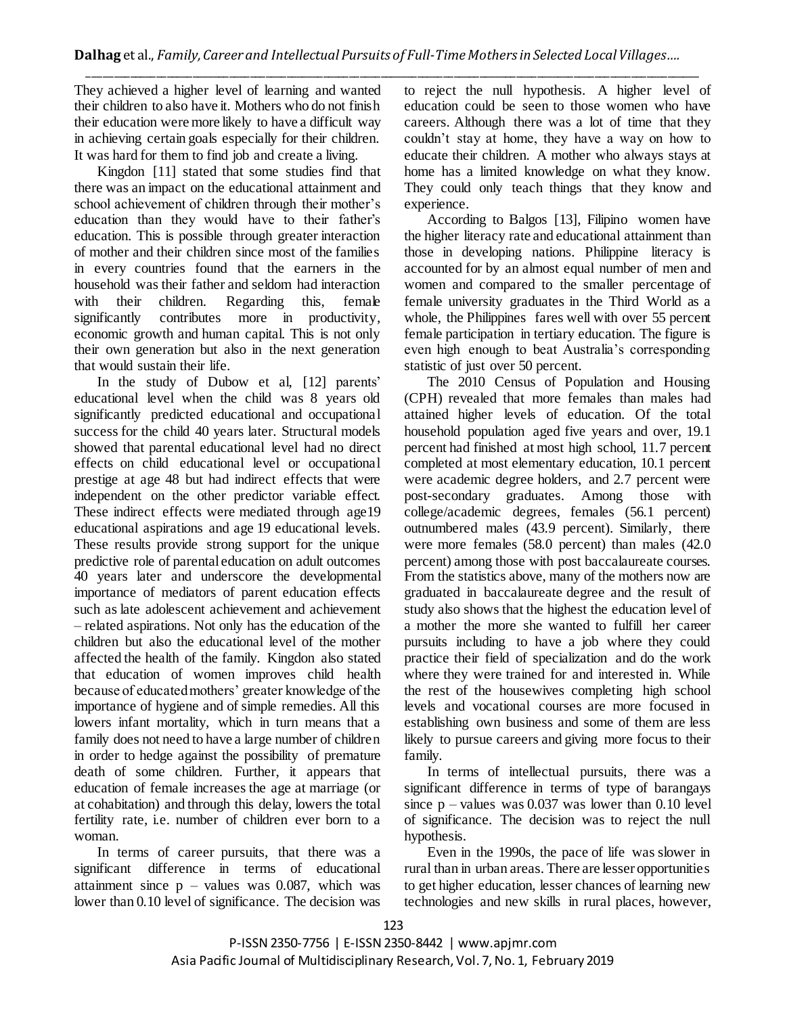They achieved a higher level of learning and wanted their children to also have it. Mothers who do not finish their education were more likely to have a difficult way in achieving certain goals especially for their children. It was hard for them to find job and create a living.

Kingdon [11] stated that some studies find that there was an impact on the educational attainment and school achievement of children through their mother's education than they would have to their father's education. This is possible through greater interaction of mother and their children since most of the families in every countries found that the earners in the household was their father and seldom had interaction with their children. Regarding this, female significantly contributes more in productivity, economic growth and human capital. This is not only their own generation but also in the next generation that would sustain their life.

In the study of Dubow et al, [12] parents' educational level when the child was 8 years old significantly predicted educational and occupational success for the child 40 years later. Structural models showed that parental educational level had no direct effects on child educational level or occupational prestige at age 48 but had indirect effects that were independent on the other predictor variable effect. These indirect effects were mediated through age19 educational aspirations and age 19 educational levels. These results provide strong support for the unique predictive role of parental education on adult outcomes 40 years later and underscore the developmental importance of mediators of parent education effects such as late adolescent achievement and achievement – related aspirations. Not only has the education of the children but also the educational level of the mother affected the health of the family. Kingdon also stated that education of women improves child health because of educated mothers' greater knowledge of the importance of hygiene and of simple remedies. All this lowers infant mortality, which in turn means that a family does not need to have a large number of children in order to hedge against the possibility of premature death of some children. Further, it appears that education of female increases the age at marriage (or at cohabitation) and through this delay, lowers the total fertility rate, i.e. number of children ever born to a woman.

In terms of career pursuits, that there was a significant difference in terms of educational attainment since  $p -$  values was 0.087, which was lower than 0.10 level of significance. The decision was

to reject the null hypothesis. A higher level of education could be seen to those women who have careers. Although there was a lot of time that they couldn't stay at home, they have a way on how to educate their children. A mother who always stays at home has a limited knowledge on what they know. They could only teach things that they know and experience.

According to Balgos [13], Filipino women have the higher literacy rate and educational attainment than those in developing nations. Philippine literacy is accounted for by an almost equal number of men and women and compared to the smaller percentage of female university graduates in the Third World as a whole, the Philippines fares well with over 55 percent female participation in tertiary education. The figure is even high enough to beat Australia's corresponding statistic of just over 50 percent.

The 2010 Census of Population and Housing (CPH) revealed that more females than males had attained higher levels of education. Of the total household population aged five years and over, 19.1 percent had finished at most high school, 11.7 percent completed at most elementary education, 10.1 percent were academic degree holders, and 2.7 percent were post-secondary graduates. Among those with college/academic degrees, females (56.1 percent) outnumbered males (43.9 percent). Similarly, there were more females (58.0 percent) than males (42.0 percent) among those with post baccalaureate courses. From the statistics above, many of the mothers now are graduated in baccalaureate degree and the result of study also shows that the highest the education level of a mother the more she wanted to fulfill her career pursuits including to have a job where they could practice their field of specialization and do the work where they were trained for and interested in. While the rest of the housewives completing high school levels and vocational courses are more focused in establishing own business and some of them are less likely to pursue careers and giving more focus to their family.

In terms of intellectual pursuits, there was a significant difference in terms of type of barangays since  $p$  – values was 0.037 was lower than 0.10 level of significance. The decision was to reject the null hypothesis.

Even in the 1990s, the pace of life was slower in rural than in urban areas. There are lesser opportunities to get higher education, lesser chances of learning new technologies and new skills in rural places, however,